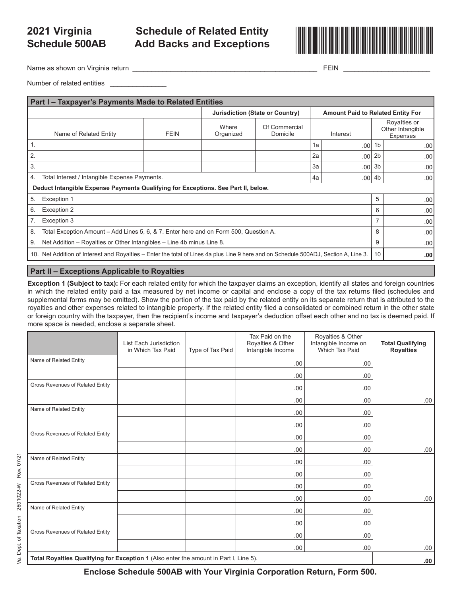# **Schedule 500AB**

## **Schedule of Related Entity**



Name as shown on Virginia return \_\_\_\_\_\_\_\_\_\_\_\_\_\_\_\_\_\_\_\_\_\_\_\_\_\_\_\_\_\_\_\_\_\_\_\_\_\_\_\_\_\_\_\_\_\_\_\_\_ FEIN \_\_\_\_\_\_\_\_\_\_\_\_\_\_\_\_\_\_\_\_\_\_\_

Number of related entities \_

| Part I - Taxpayer's Payments Made to Related Entities                             |                                                                                                                                      |             |                    |                                                                             |    |                  |                |                                                     |
|-----------------------------------------------------------------------------------|--------------------------------------------------------------------------------------------------------------------------------------|-------------|--------------------|-----------------------------------------------------------------------------|----|------------------|----------------|-----------------------------------------------------|
|                                                                                   |                                                                                                                                      |             |                    | Jurisdiction (State or Country)<br><b>Amount Paid to Related Entity For</b> |    |                  |                |                                                     |
|                                                                                   | Name of Related Entity                                                                                                               | <b>FEIN</b> | Where<br>Organized | Of Commercial<br>Domicile                                                   |    | Interest         |                | Royalties or<br>Other Intangible<br><b>Expenses</b> |
| 1.                                                                                |                                                                                                                                      |             |                    |                                                                             | 1a | .00 <sub>1</sub> | 1 <sub>b</sub> | .00.                                                |
| 2.                                                                                |                                                                                                                                      |             |                    |                                                                             | 2a | .00              | 2 <sub>b</sub> | .00                                                 |
| 3.                                                                                |                                                                                                                                      |             |                    |                                                                             | 3a | .00              | 3 <sub>b</sub> | .00                                                 |
| 4.                                                                                | Total Interest / Intangible Expense Payments.<br>4a<br>.00 <sub>1</sub>                                                              |             |                    |                                                                             |    | 4b               | .00.           |                                                     |
| Deduct Intangible Expense Payments Qualifying for Exceptions. See Part II, below. |                                                                                                                                      |             |                    |                                                                             |    |                  |                |                                                     |
| 5.                                                                                | Exception 1                                                                                                                          |             |                    |                                                                             |    |                  | 5              | .00 <sub>1</sub>                                    |
| 6.                                                                                | Exception 2                                                                                                                          |             |                    |                                                                             |    |                  | 6              | .00                                                 |
|                                                                                   | Exception 3                                                                                                                          |             |                    |                                                                             |    |                  | 7              | .00                                                 |
| 8.                                                                                | Total Exception Amount - Add Lines 5, 6, & 7. Enter here and on Form 500, Question A.                                                |             |                    |                                                                             |    | 8                | .00            |                                                     |
| 9.                                                                                | Net Addition – Royalties or Other Intangibles – Line 4b minus Line 8.                                                                |             |                    |                                                                             |    | 9                | .00            |                                                     |
|                                                                                   | 10. Net Addition of Interest and Royalties – Enter the total of Lines 4a plus Line 9 here and on Schedule 500ADJ, Section A, Line 3. |             |                    |                                                                             |    | 10               | .00            |                                                     |

#### **Part II – Exceptions Applicable to Royalties**

**Exception 1 (Subject to tax):** For each related entity for which the taxpayer claims an exception, identify all states and foreign countries in which the related entity paid a tax measured by net income or capital and enclose a copy of the tax returns filed (schedules and supplemental forms may be omitted). Show the portion of the tax paid by the related entity on its separate return that is attributed to the royalties and other expenses related to intangible property. If the related entity filed a consolidated or combined return in the other state or foreign country with the taxpayer, then the recipient's income and taxpayer's deduction offset each other and no tax is deemed paid. If more space is needed, enclose a separate sheet.

|                                                                                       | List Each Jurisdiction<br>in Which Tax Paid | Type of Tax Paid | Tax Paid on the<br>Royalties & Other<br>Intangible Income | Royalties & Other<br>Intangible Income on<br>Which Tax Paid | <b>Total Qualifying</b><br><b>Royalties</b> |  |
|---------------------------------------------------------------------------------------|---------------------------------------------|------------------|-----------------------------------------------------------|-------------------------------------------------------------|---------------------------------------------|--|
| Name of Related Entity                                                                |                                             |                  | .00                                                       | .00                                                         |                                             |  |
|                                                                                       |                                             |                  | .00                                                       | .00                                                         |                                             |  |
| Gross Revenues of Related Entity                                                      |                                             |                  | .00                                                       | .00                                                         |                                             |  |
|                                                                                       |                                             |                  | .00.                                                      | .00                                                         | .00.                                        |  |
| Name of Related Entity                                                                |                                             |                  | .00.                                                      | .00                                                         |                                             |  |
|                                                                                       |                                             |                  | .00.                                                      | .00                                                         |                                             |  |
| Gross Revenues of Related Entity                                                      |                                             |                  | .00.                                                      | .00                                                         |                                             |  |
|                                                                                       |                                             |                  | .00.                                                      | .00                                                         | .00.                                        |  |
| Name of Related Entity                                                                |                                             |                  | .00.                                                      | .00                                                         |                                             |  |
|                                                                                       |                                             |                  | .00.                                                      | .00                                                         |                                             |  |
| Gross Revenues of Related Entity                                                      |                                             |                  | .00.                                                      | .00                                                         |                                             |  |
|                                                                                       |                                             |                  | .00.                                                      | .00                                                         | .00.                                        |  |
| Name of Related Entity                                                                |                                             |                  | .00.                                                      | .00                                                         |                                             |  |
|                                                                                       |                                             |                  | .00                                                       | .00                                                         |                                             |  |
| Gross Revenues of Related Entity                                                      |                                             |                  | .00                                                       | .00                                                         |                                             |  |
|                                                                                       |                                             |                  | .00.                                                      | .00                                                         | .00                                         |  |
| Total Royalties Qualifying for Exception 1 (Also enter the amount in Part I, Line 5). |                                             |                  |                                                           |                                                             |                                             |  |

**Enclose Schedule 500AB with Your Virginia Corporation Return, Form 500.**